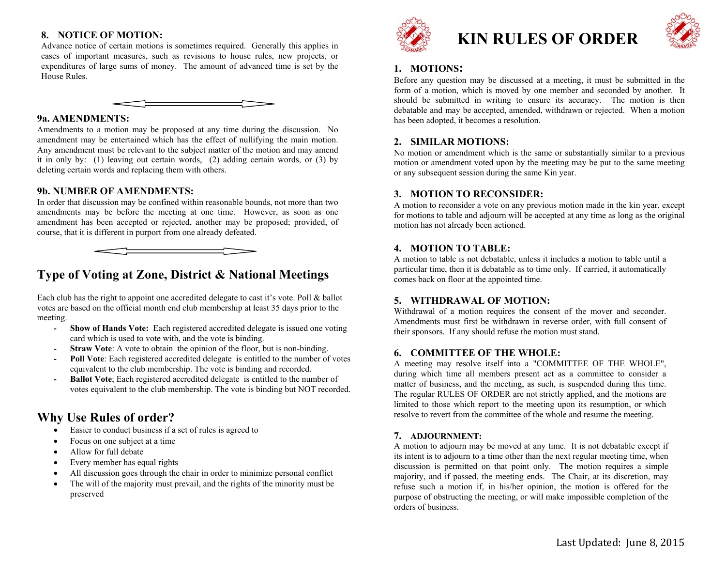# **8. NOTICE OF MOTION:**

Advance notice of certain motions is sometimes required. Generally this applies in cases of important measures, such as revisions to house rules, new projects, or expenditures of large sums of money. The amount of advanced time is set by the House Rules.

### **9a. AMENDMENTS:**

Amendments to a motion may be proposed at any time during the discussion. No amendment may be entertained which has the effect of nullifying the main motion. Any amendment must be relevant to the subject matter of the motion and may amend it in only by: (1) leaving out certain words, (2) adding certain words, or (3) by deleting certain words and replacing them with others.

### **9b. NUMBER OF AMENDMENTS:**

In order that discussion may be confined within reasonable bounds, not more than two amendments may be before the meeting at one time. However, as soon as one amendment has been accepted or rejected, another may be proposed; provided, of course, that it is different in purport from one already defeated.

# **Type of Voting at Zone, District & National Meetings**

Each club has the right to appoint one accredited delegate to cast it's vote. Poll & ballot votes are based on the official month end club membership at least 35 days prior to the meeting.

- **- Show of Hands Vote:** Each registered accredited delegate is issued one voting card which is used to vote with, and the vote is binding.
- **-Straw Vote**: A vote to obtain the opinion of the floor, but is non-binding.
- **Poll Vote**: Each registered accredited delegate is entitled to the number of votes equivalent to the club membership. The vote is binding and recorded.
- **-Ballot Vote**; Each registered accredited delegate is entitled to the number of votes equivalent to the club membership. The vote is binding but NOT recorded.

# **Why Use Rules of order?**

- $\bullet$ Easier to conduct business if a set of rules is agreed to
- $\bullet$ Focus on one subject at a time
- $\bullet$ Allow for full debate
- $\bullet$ Every member has equal rights
- $\bullet$ All discussion goes through the chair in order to minimize personal conflict
- $\bullet$  The will of the majority must prevail, and the rights of the minority must be preserved



# **KIN RULES OF ORDER**



# **1. MOTIONS:**

Before any question may be discussed at a meeting, it must be submitted in the form of a motion, which is moved by one member and seconded by another. It should be submitted in writing to ensure its accuracy. The motion is then debatable and may be accepted, amended, withdrawn or rejected. When a motion has been adopted, it becomes a resolution.

# **2. SIMILAR MOTIONS:**

No motion or amendment which is the same or substantially similar to a previous motion or amendment voted upon by the meeting may be put to the same meeting or any subsequent session during the same Kin year.

## **3. MOTION TO RECONSIDER:**

A motion to reconsider a vote on any previous motion made in the kin year, except for motions to table and adjourn will be accepted at any time as long as the original motion has not already been actioned.

# **4. MOTION TO TABLE:**

A motion to table is not debatable, unless it includes a motion to table until a particular time, then it is debatable as to time only. If carried, it automatically comes back on floor at the appointed time.

# **5. WITHDRAWAL OF MOTION:**

Withdrawal of a motion requires the consent of the mover and seconder. Amendments must first be withdrawn in reverse order, with full consent of their sponsors. If any should refuse the motion must stand.

# **6. COMMITTEE OF THE WHOLE:**

A meeting may resolve itself into a "COMMITTEE OF THE WHOLE", during which time all members present act as a committee to consider a matter of business, and the meeting, as such, is suspended during this time. The regular RULES OF ORDER are not strictly applied, and the motions are limited to those which report to the meeting upon its resumption, or which resolve to revert from the committee of the whole and resume the meeting.

### **7. ADJOURNMENT:**

A motion to adjourn may be moved at any time. It is not debatable except if its intent is to adjourn to a time other than the next regular meeting time, when discussion is permitted on that point only. The motion requires a simple majority, and if passed, the meeting ends. The Chair, at its discretion, may refuse such a motion if, in his/her opinion, the motion is offered for the purpose of obstructing the meeting, or will make impossible completion of the orders of business.